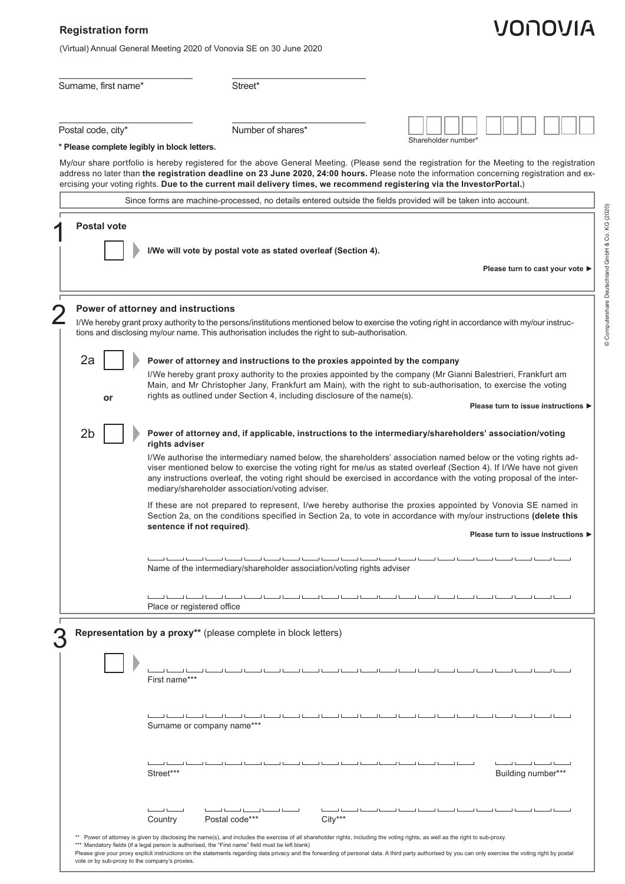## **Registration form**

(Virtual) Annual General Meeting 2020 of Vonovia SE on 30 June 2020

## Surname, first name\* Street\*

Postal code, city\* Number of shares\*

| Shareholder number* |  |  |  |  |  |  |  |  |  |
|---------------------|--|--|--|--|--|--|--|--|--|

**\* Please complete legibly in block letters.**

My/our share portfolio is hereby registered for the above General Meeting. (Please send the registration for the Meeting to the registration address no later than **the registration deadline on 23 June 2020, 24:00 hours.** Please note the information concerning registration and exercising your voting rights. **Due to the current mail delivery times, we recommend registering via the InvestorPortal.**)

|                                                | Since forms are machine-processed, no details entered outside the fields provided will be taken into account.                                                                                                                                                                                                                                                                                                                                                                                                                                                                                                                                                                                                                                                                                                                                                            |
|------------------------------------------------|--------------------------------------------------------------------------------------------------------------------------------------------------------------------------------------------------------------------------------------------------------------------------------------------------------------------------------------------------------------------------------------------------------------------------------------------------------------------------------------------------------------------------------------------------------------------------------------------------------------------------------------------------------------------------------------------------------------------------------------------------------------------------------------------------------------------------------------------------------------------------|
| <b>Postal vote</b>                             | I/We will vote by postal vote as stated overleaf (Section 4).<br>Please turn to cast your vote ▶                                                                                                                                                                                                                                                                                                                                                                                                                                                                                                                                                                                                                                                                                                                                                                         |
| 2a                                             | Power of attorney and instructions<br>I/We hereby grant proxy authority to the persons/institutions mentioned below to exercise the voting right in accordance with my/our instruc-<br>tions and disclosing my/our name. This authorisation includes the right to sub-authorisation.                                                                                                                                                                                                                                                                                                                                                                                                                                                                                                                                                                                     |
| or                                             | Power of attorney and instructions to the proxies appointed by the company<br>I/We hereby grant proxy authority to the proxies appointed by the company (Mr Gianni Balestrieri, Frankfurt am<br>Main, and Mr Christopher Jany, Frankfurt am Main), with the right to sub-authorisation, to exercise the voting<br>rights as outlined under Section 4, including disclosure of the name(s).<br>Please turn to issue instructions ▶                                                                                                                                                                                                                                                                                                                                                                                                                                        |
| 2 <sub>b</sub>                                 | Power of attorney and, if applicable, instructions to the intermediary/shareholders' association/voting<br>rights adviser<br>I/We authorise the intermediary named below, the shareholders' association named below or the voting rights ad-<br>viser mentioned below to exercise the voting right for me/us as stated overleaf (Section 4). If I/We have not given<br>any instructions overleaf, the voting right should be exercised in accordance with the voting proposal of the inter-<br>mediary/shareholder association/voting adviser.<br>If these are not prepared to represent, I/we hereby authorise the proxies appointed by Vonovia SE named in<br>Section 2a, on the conditions specified in Section 2a, to vote in accordance with my/our instructions (delete this<br>sentence if not required).<br>Please turn to issue instructions ▶<br>نا لىن نيا لى |
|                                                | Name of the intermediary/shareholder association/voting rights adviser<br>Place or registered office                                                                                                                                                                                                                                                                                                                                                                                                                                                                                                                                                                                                                                                                                                                                                                     |
|                                                | Representation by a proxy** (please complete in block letters)<br>First name***                                                                                                                                                                                                                                                                                                                                                                                                                                                                                                                                                                                                                                                                                                                                                                                          |
|                                                | Surname or company name***<br>Street***<br>Building number***                                                                                                                                                                                                                                                                                                                                                                                                                                                                                                                                                                                                                                                                                                                                                                                                            |
| vote or by sub-proxy to the company's proxies. | பட<br>Postal code***<br>City***<br>Country<br>** Power of attorney is given by disclosing the name(s), and includes the exercise of all shareholder rights, including the voting rights, as well as the right to sub-proxy.<br>*** Mandatory fields (if a legal person is authorised, the "First name" field must be left blank)<br>Please give your proxy explicit instructions on the statements regarding data privacy and the forwarding of personal data. A third party authorised by you can only exercise the voting right by postal                                                                                                                                                                                                                                                                                                                              |

## VONOVIA